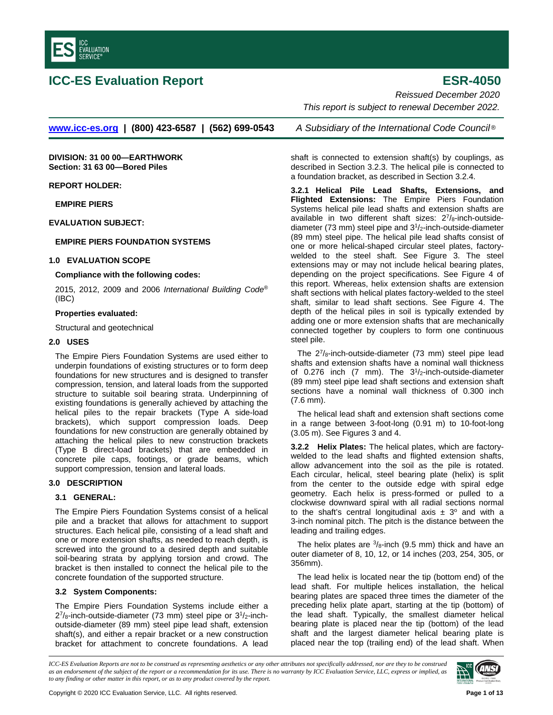

# **ICC-ES Evaluation Report <b>ESR-4050**

*Reissued December 2020*

*This report is subject to renewal December 2022.*

**www.icc-es.org | (800) 423-6587 | (562) 699-0543** *A Subsidiary of the International Code Council* ®

**DIVISION: 31 00 00—EARTHWORK Section: 31 63 00—Bored Piles**

**REPORT HOLDER:**

**EMPIRE PIERS**

**EVALUATION SUBJECT:**

## **EMPIRE PIERS FOUNDATION SYSTEMS**

#### **1.0 EVALUATION SCOPE**

#### **Compliance with the following codes:**

2015, 2012, 2009 and 2006 *International Building Code*® (IBC)

#### **Properties evaluated:**

Structural and geotechnical

### **2.0 USES**

The Empire Piers Foundation Systems are used either to underpin foundations of existing structures or to form deep foundations for new structures and is designed to transfer compression, tension, and lateral loads from the supported structure to suitable soil bearing strata. Underpinning of existing foundations is generally achieved by attaching the helical piles to the repair brackets (Type A side-load brackets), which support compression loads. Deep foundations for new construction are generally obtained by attaching the helical piles to new construction brackets (Type B direct-load brackets) that are embedded in concrete pile caps, footings, or grade beams, which support compression, tension and lateral loads.

## **3.0 DESCRIPTION**

#### **3.1 GENERAL:**

The Empire Piers Foundation Systems consist of a helical pile and a bracket that allows for attachment to support structures. Each helical pile, consisting of a lead shaft and one or more extension shafts, as needed to reach depth, is screwed into the ground to a desired depth and suitable soil-bearing strata by applying torsion and crowd. The bracket is then installed to connect the helical pile to the concrete foundation of the supported structure.

# **3.2 System Components:**

The Empire Piers Foundation Systems include either a  $2^{7}/_{8}$ -inch-outside-diameter (73 mm) steel pipe or  $3^{1}/_{2}$ -inchoutside-diameter (89 mm) steel pipe lead shaft, extension shaft(s), and either a repair bracket or a new construction bracket for attachment to concrete foundations. A lead

shaft is connected to extension shaft(s) by couplings, as described in Section 3.2.3. The helical pile is connected to a foundation bracket, as described in Section 3.2.4.

**3.2.1 Helical Pile Lead Shafts, Extensions, and Flighted Extensions:** The Empire Piers Foundation Systems helical pile lead shafts and extension shafts are available in two different shaft sizes:  $2^7/s$ -inch-outsidediameter (73 mm) steel pipe and 31/2-inch-outside-diameter (89 mm) steel pipe. The helical pile lead shafts consist of one or more helical-shaped circular steel plates, factorywelded to the steel shaft. See Figure 3. The steel extensions may or may not include helical bearing plates, depending on the project specifications. See Figure 4 of this report. Whereas, helix extension shafts are extension shaft sections with helical plates factory-welded to the steel shaft, similar to lead shaft sections. See Figure 4. The depth of the helical piles in soil is typically extended by adding one or more extension shafts that are mechanically connected together by couplers to form one continuous steel pile.

The 27/8-inch-outside-diameter (73 mm) steel pipe lead shafts and extension shafts have a nominal wall thickness of  $0.276$  inch (7 mm). The  $3^{1}/2$ -inch-outside-diameter (89 mm) steel pipe lead shaft sections and extension shaft sections have a nominal wall thickness of 0.300 inch (7.6 mm).

The helical lead shaft and extension shaft sections come in a range between 3-foot-long (0.91 m) to 10-foot-long (3.05 m). See Figures 3 and 4.

**3.2.2 Helix Plates:** The helical plates, which are factorywelded to the lead shafts and flighted extension shafts, allow advancement into the soil as the pile is rotated. Each circular, helical, steel bearing plate (helix) is split from the center to the outside edge with spiral edge geometry. Each helix is press-formed or pulled to a clockwise downward spiral with all radial sections normal to the shaft's central longitudinal axis  $\pm$  3° and with a 3-inch nominal pitch. The pitch is the distance between the leading and trailing edges.

The helix plates are  $3/8$ -inch (9.5 mm) thick and have an outer diameter of 8, 10, 12, or 14 inches (203, 254, 305, or 356mm).

The lead helix is located near the tip (bottom end) of the lead shaft. For multiple helices installation, the helical bearing plates are spaced three times the diameter of the preceding helix plate apart, starting at the tip (bottom) of the lead shaft. Typically, the smallest diameter helical bearing plate is placed near the tip (bottom) of the lead shaft and the largest diameter helical bearing plate is placed near the top (trailing end) of the lead shaft. When

*ICC-ES Evaluation Reports are not to be construed as representing aesthetics or any other attributes not specifically addressed, nor are they to be construed as an endorsement of the subject of the report or a recommendation for its use. There is no warranty by ICC Evaluation Service, LLC, express or implied, as to any finding or other matter in this report, or as to any product covered by the report.*

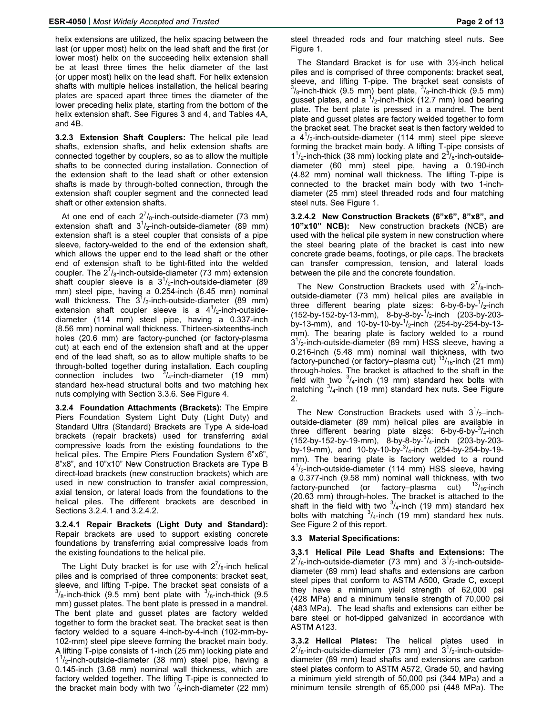helix extensions are utilized, the helix spacing between the last (or upper most) helix on the lead shaft and the first (or lower most) helix on the succeeding helix extension shall be at least three times the helix diameter of the last (or upper most) helix on the lead shaft. For helix extension shafts with multiple helices installation, the helical bearing plates are spaced apart three times the diameter of the lower preceding helix plate, starting from the bottom of the helix extension shaft. See Figures 3 and 4, and Tables 4A, and 4B.

**3.2.3 Extension Shaft Couplers:** The helical pile lead shafts, extension shafts, and helix extension shafts are connected together by couplers, so as to allow the multiple shafts to be connected during installation. Connection of the extension shaft to the lead shaft or other extension shafts is made by through-bolted connection, through the extension shaft coupler segment and the connected lead shaft or other extension shafts.

At one end of each  $2^{7}/_8$ -inch-outside-diameter (73 mm) extension shaft and  $3^{1}/_{2}$ -inch-outside-diameter (89 mm) extension shaft is a steel coupler that consists of a pipe sleeve, factory-welded to the end of the extension shaft, which allows the upper end to the lead shaft or the other end of extension shaft to be tight-fitted into the welded coupler. The  $2^{7}/_{8}$ -inch-outside-diameter (73 mm) extension shaft coupler sleeve is a  $3^{1}/_{2}$ -inch-outside-diameter (89 mm) steel pipe, having a 0.254-inch (6.45 mm) nominal wall thickness. The  $3^{1}/_{2}$ -inch-outside-diameter (89 mm) extension shaft coupler sleeve is a  $4^1/2$ -inch-outsidediameter (114 mm) steel pipe, having a 0.337-inch (8.56 mm) nominal wall thickness. Thirteen-sixteenths-inch holes (20.6 mm) are factory-punched (or factory-plasma cut) at each end of the extension shaft and at the upper end of the lead shaft, so as to allow multiple shafts to be through-bolted together during installation. Each coupling connection includes two  $\frac{3}{4}$ -inch-diameter (19 mm) standard hex-head structural bolts and two matching hex nuts complying with Section 3.3.6. See Figure 4.

**3.2.4 Foundation Attachments (Brackets):** The Empire Piers Foundation System Light Duty (Light Duty) and Standard Ultra (Standard) Brackets are Type A side-load brackets (repair brackets) used for transferring axial compressive loads from the existing foundations to the helical piles. The Empire Piers Foundation System 6"x6", 8"x8", and 10"x10" New Construction Brackets are Type B direct-load brackets (new construction brackets) which are used in new construction to transfer axial compression, axial tension, or lateral loads from the foundations to the helical piles. The different brackets are described in Sections 3.2.4.1 and 3.2.4.2.

**3.2.4.1 Repair Brackets (Light Duty and Standard):**  Repair brackets are used to support existing concrete foundations by transferring axial compressive loads from the existing foundations to the helical pile.

The Light Duty bracket is for use with  $2^{7}/_{8}$ -inch helical piles and is comprised of three components: bracket seat, sleeve, and lifting T-pipe. The bracket seat consists of a<br><sup>3</sup>/<sub>8</sub>-inch-thick (9.5 mm) bent plate with <sup>3</sup>/<sub>8</sub>-inch-thick (9.5 mm) gusset plates. The bent plate is pressed in a mandrel. The bent plate and gusset plates are factory welded together to form the bracket seat. The bracket seat is then factory welded to a square 4-inch-by-4-inch (102-mm-by-102-mm) steel pipe sleeve forming the bracket main body. A lifting T-pipe consists of 1-inch (25 mm) locking plate and 1<sup>1</sup>/<sub>2</sub>-inch-outside-diameter (38 mm) steel pipe, having a 0.145-inch (3.68 mm) nominal wall thickness, which are factory welded together. The lifting T-pipe is connected to the bracket main body with two  $\frac{7}{6}$ -inch-diameter (22 mm) steel threaded rods and four matching steel nuts. See Figure 1.

The Standard Bracket is for use with 3½-inch helical piles and is comprised of three components: bracket seat, sleeve, and lifting T-pipe. The bracket seat consists of  $\frac{3}{8}$ -inch-thick (9.5 mm) bent plate,  $\frac{3}{8}$ -inch-thick (9.5 mm) gusset plates, and a  $\frac{1}{2}$ -inch-thick (12.7 mm) load bearing plate. The bent plate is pressed in a mandrel. The bent plate and gusset plates are factory welded together to form the bracket seat. The bracket seat is then factory welded to a  $4^{1}/_{2}$ -inch-outside-diameter (114 mm) steel pipe sleeve forming the bracket main body. A lifting T-pipe consists of  $1<sup>1</sup>/2$ -inch-thick (38 mm) locking plate and  $2<sup>3</sup>/8$ -inch-outsidediameter (60 mm) steel pipe, having a 0.190-inch (4.82 mm) nominal wall thickness. The lifting T-pipe is connected to the bracket main body with two 1-inchdiameter (25 mm) steel threaded rods and four matching steel nuts. See Figure 1.

**3.2.4.2 New Construction Brackets (6"x6", 8"x8", and 10"x10" NCB):** New construction brackets (NCB) are used with the helical pile system in new construction where the steel bearing plate of the bracket is cast into new concrete grade beams, footings, or pile caps. The brackets can transfer compression, tension, and lateral loads between the pile and the concrete foundation.

The New Construction Brackets used with  $2^{7}/_{8}$ -inchoutside-diameter (73 mm) helical piles are available in three different bearing plate sizes: 6-by-6-by- $\frac{1}{2}$ -inch (152-by-152-by-13-mm), 8-by-8-by-<sup>1</sup> /2-inch (203-by-203 by-13-mm), and 10-by-10-by-1 /2-inch (254-by-254-by-13 mm). The bearing plate is factory welded to a round 31 /2-inch-outside-diameter (89 mm) HSS sleeve, having a 0.216-inch (5.48 mm) nominal wall thickness, with two factory-punched (or factory-plasma cut)  $13/16$ -inch (21 mm) through-holes. The bracket is attached to the shaft in the field with two  $\frac{3}{4}$ -inch (19 mm) standard hex bolts with matching  $3/4$ -inch (19 mm) standard hex nuts. See Figure 2.

The New Construction Brackets used with  $3<sup>1</sup>/2$ -inchoutside-diameter (89 mm) helical piles are available in three different bearing plate sizes: 6-by-6-by- $3/4$ -inch (152-by-152-by-19-mm), 8-by-8-by-<sup>3</sup> /4-inch (203-by-203 by-19-mm), and 10-by-10-by-3 /4-inch (254-by-254-by-19 mm). The bearing plate is factory welded to a round 4<sup>1</sup>/<sub>2</sub>-inch-outside-diameter (114 mm) HSS sleeve, having a 0.377-inch (9.58 mm) nominal wall thickness, with two factory-punched (or factory-plasma cut)  $13/16$ -inch factory-punched (or factory-plasma cut) (20.63 mm) through-holes. The bracket is attached to the shaft in the field with two  $3/4$ -inch (19 mm) standard hex bolts with matching  $3/4$ -inch (19 mm) standard hex nuts. See Figure 2 of this report.

# **3.3 Material Specifications:**

**3.3.1 Helical Pile Lead Shafts and Extensions:** The  $2^{7}/_{8}$ -inch-outside-diameter (73 mm) and  $3^{1}/_{2}$ -inch-outsidediameter (89 mm) lead shafts and extensions are carbon steel pipes that conform to ASTM A500, Grade C, except they have a minimum yield strength of 62,000 psi (428 MPa) and a minimum tensile strength of 70,000 psi (483 MPa). The lead shafts and extensions can either be bare steel or hot-dipped galvanized in accordance with ASTM A123.

**3.3.2 Helical Plates:** The helical plates used in  $2^{7}/_{8}$ -inch-outside-diameter (73 mm) and  $3^{1}/_{2}$ -inch-outsidediameter (89 mm) lead shafts and extensions are carbon steel plates conform to ASTM A572, Grade 50, and having a minimum yield strength of 50,000 psi (344 MPa) and a minimum tensile strength of 65,000 psi (448 MPa). The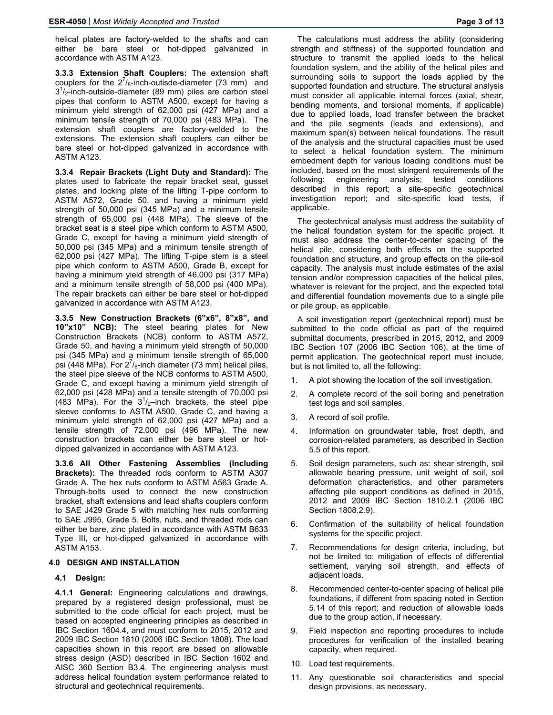helical plates are factory-welded to the shafts and can either be bare steel or hot-dipped galvanized in accordance with ASTM A123.

**3.3.3 Extension Shaft Couplers:** The extension shaft couplers for the  $2^{7}/_{8}$ -inch-outisde-diameter (73 mm) and  $3<sup>1</sup>/2$ -inch-outside-diameter (89 mm) piles are carbon steel pipes that conform to ASTM A500, except for having a minimum yield strength of 62,000 psi (427 MPa) and a minimum tensile strength of 70,000 psi (483 MPa). The extension shaft couplers are factory-welded to the extensions. The extension shaft couplers can either be bare steel or hot-dipped galvanized in accordance with ASTM A123.

**3.3.4 Repair Brackets (Light Duty and Standard):** The plates used to fabricate the repair bracket seat, gusset plates, and locking plate of the lifting T-pipe conform to ASTM A572, Grade 50, and having a minimum yield strength of 50,000 psi (345 MPa) and a minimum tensile strength of 65,000 psi (448 MPa). The sleeve of the bracket seat is a steel pipe which conform to ASTM A500, Grade C, except for having a minimum yield strength of 50,000 psi (345 MPa) and a minimum tensile strength of 62,000 psi (427 MPa). The lifting T-pipe stem is a steel pipe which conform to ASTM A500, Grade B, except for having a minimum yield strength of 46,000 psi (317 MPa) and a minimum tensile strength of 58,000 psi (400 MPa). The repair brackets can either be bare steel or hot-dipped galvanized in accordance with ASTM A123.

**3.3.5 New Construction Brackets (6"x6", 8"x8", and 10"x10" NCB):** The steel bearing plates for New Construction Brackets (NCB) conform to ASTM A572, Grade 50, and having a minimum yield strength of 50,000 psi (345 MPa) and a minimum tensile strength of 65,000 psi (448 MPa). For  $2^7$ /<sub>8</sub>-inch diameter (73 mm) helical piles, the steel pipe sleeve of the NCB conforms to ASTM A500, Grade C, and except having a minimum yield strength of 62,000 psi (428 MPa) and a tensile strength of 70,000 psi (483 MPa). For the  $3^{1}/2$ -inch brackets, the steel pipe sleeve conforms to ASTM A500, Grade C, and having a minimum yield strength of 62,000 psi (427 MPa) and a tensile strength of 72,000 psi (496 MPa). The new construction brackets can either be bare steel or hotdipped galvanized in accordance with ASTM A123.

**3.3.6 All Other Fastening Assemblies (Including Brackets):** The threaded rods conform to ASTM A307 Grade A. The hex nuts conform to ASTM A563 Grade A. Through-bolts used to connect the new construction bracket, shaft extensions and lead shafts couplers conform to SAE J429 Grade 5 with matching hex nuts conforming to SAE J995, Grade 5. Bolts, nuts, and threaded rods can either be bare, zinc plated in accordance with ASTM B633 Type III, or hot-dipped galvanized in accordance with ASTM A153.

#### **4.0 DESIGN AND INSTALLATION**

#### **4.1 Design:**

**4.1.1 General:** Engineering calculations and drawings, prepared by a registered design professional, must be submitted to the code official for each project, must be based on accepted engineering principles as described in IBC Section 1604.4, and must conform to 2015, 2012 and 2009 IBC Section 1810 (2006 IBC Section 1808). The load capacities shown in this report are based on allowable stress design (ASD) described in IBC Section 1602 and AISC 360 Section B3.4. The engineering analysis must address helical foundation system performance related to structural and geotechnical requirements.

The calculations must address the ability (considering strength and stiffness) of the supported foundation and structure to transmit the applied loads to the helical foundation system, and the ability of the helical piles and surrounding soils to support the loads applied by the supported foundation and structure. The structural analysis must consider all applicable internal forces (axial, shear, bending moments, and torsional moments, if applicable) due to applied loads, load transfer between the bracket and the pile segments (leads and extensions), and maximum span(s) between helical foundations. The result of the analysis and the structural capacities must be used to select a helical foundation system. The minimum embedment depth for various loading conditions must be included, based on the most stringent requirements of the following: engineering analysis; tested conditions described in this report; a site-specific geotechnical investigation report; and site-specific load tests, if applicable.

The geotechnical analysis must address the suitability of the helical foundation system for the specific project. It must also address the center-to-center spacing of the helical pile, considering both effects on the supported foundation and structure, and group effects on the pile-soil capacity. The analysis must include estimates of the axial tension and/or compression capacities of the helical piles, whatever is relevant for the project, and the expected total and differential foundation movements due to a single pile or pile group, as applicable.

A soil investigation report (geotechnical report) must be submitted to the code official as part of the required submittal documents, prescribed in 2015, 2012, and 2009 IBC Section 107 (2006 IBC Section 106), at the time of permit application. The geotechnical report must include, but is not limited to, all the following:

- 1. A plot showing the location of the soil investigation.
- 2. A complete record of the soil boring and penetration test logs and soil samples.
- 3. A record of soil profile.
- 4. Information on groundwater table, frost depth, and corrosion-related parameters, as described in Section 5.5 of this report.
- 5. Soil design parameters, such as: shear strength, soil allowable bearing pressure, unit weight of soil, soil deformation characteristics, and other parameters affecting pile support conditions as defined in 2015, 2012 and 2009 IBC Section 1810.2.1 (2006 IBC Section 1808.2.9).
- 6. Confirmation of the suitability of helical foundation systems for the specific project.
- 7. Recommendations for design criteria, including, but not be limited to: mitigation of effects of differential settlement, varying soil strength, and effects of adjacent loads.
- 8. Recommended center-to-center spacing of helical pile foundations, if different from spacing noted in Section 5.14 of this report; and reduction of allowable loads due to the group action, if necessary.
- Field inspection and reporting procedures to include procedures for verification of the installed bearing capacity, when required.
- 10. Load test requirements.
- 11. Any questionable soil characteristics and special design provisions, as necessary.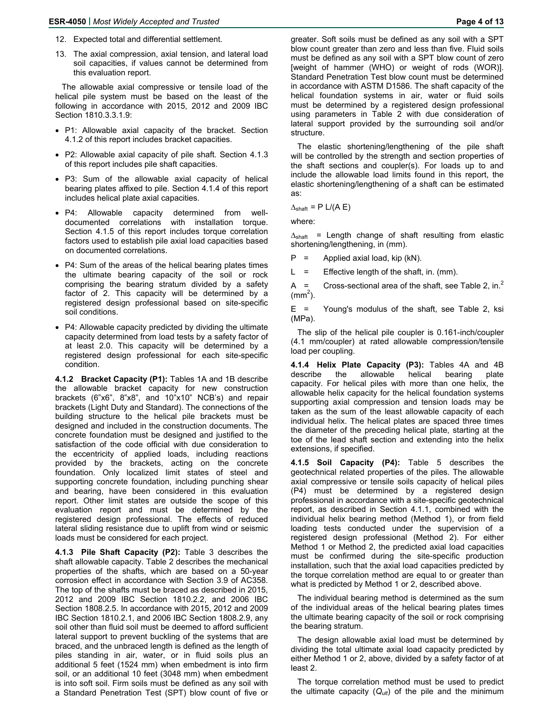- 12. Expected total and differential settlement.
- 13. The axial compression, axial tension, and lateral load soil capacities, if values cannot be determined from this evaluation report.

The allowable axial compressive or tensile load of the helical pile system must be based on the least of the following in accordance with 2015, 2012 and 2009 IBC Section 1810.3.3.1.9:

- P1: Allowable axial capacity of the bracket. Section 4.1.2 of this report includes bracket capacities.
- P2: Allowable axial capacity of pile shaft. Section 4.1.3 of this report includes pile shaft capacities.
- P3: Sum of the allowable axial capacity of helical bearing plates affixed to pile. Section 4.1.4 of this report includes helical plate axial capacities.
- P4: Allowable capacity determined from welldocumented correlations with installation torque. Section 4.1.5 of this report includes torque correlation factors used to establish pile axial load capacities based on documented correlations.
- P4: Sum of the areas of the helical bearing plates times the ultimate bearing capacity of the soil or rock comprising the bearing stratum divided by a safety factor of 2. This capacity will be determined by a registered design professional based on site-specific soil conditions.
- P4: Allowable capacity predicted by dividing the ultimate capacity determined from load tests by a safety factor of at least 2.0. This capacity will be determined by a registered design professional for each site-specific condition.

**4.1.2 Bracket Capacity (P1):** Tables 1A and 1B describe the allowable bracket capacity for new construction brackets (6"x6", 8"x8", and 10"x10" NCB's) and repair brackets (Light Duty and Standard). The connections of the building structure to the helical pile brackets must be designed and included in the construction documents. The concrete foundation must be designed and justified to the satisfaction of the code official with due consideration to the eccentricity of applied loads, including reactions provided by the brackets, acting on the concrete foundation. Only localized limit states of steel and supporting concrete foundation, including punching shear and bearing, have been considered in this evaluation report. Other limit states are outside the scope of this evaluation report and must be determined by the registered design professional. The effects of reduced lateral sliding resistance due to uplift from wind or seismic loads must be considered for each project.

**4.1.3 Pile Shaft Capacity (P2):** Table 3 describes the shaft allowable capacity. Table 2 describes the mechanical properties of the shafts, which are based on a 50-year corrosion effect in accordance with Section 3.9 of AC358. The top of the shafts must be braced as described in 2015, 2012 and 2009 IBC Section 1810.2.2, and 2006 IBC Section 1808.2.5. In accordance with 2015, 2012 and 2009 IBC Section 1810.2.1, and 2006 IBC Section 1808.2.9, any soil other than fluid soil must be deemed to afford sufficient lateral support to prevent buckling of the systems that are braced, and the unbraced length is defined as the length of piles standing in air, water, or in fluid soils plus an additional 5 feet (1524 mm) when embedment is into firm soil, or an additional 10 feet (3048 mm) when embedment is into soft soil. Firm soils must be defined as any soil with a Standard Penetration Test (SPT) blow count of five or

greater. Soft soils must be defined as any soil with a SPT blow count greater than zero and less than five. Fluid soils must be defined as any soil with a SPT blow count of zero [weight of hammer (WHO) or weight of rods (WOR)]. Standard Penetration Test blow count must be determined in accordance with ASTM D1586. The shaft capacity of the helical foundation systems in air, water or fluid soils must be determined by a registered design professional using parameters in Table 2 with due consideration of lateral support provided by the surrounding soil and/or structure.

The elastic shortening/lengthening of the pile shaft will be controlled by the strength and section properties of the shaft sections and coupler(s). For loads up to and include the allowable load limits found in this report, the elastic shortening/lengthening of a shaft can be estimated as:

 $\Delta_{\text{shaff}}$  = P L/(A E)

where:

 $\Delta_{\text{shaff}}$  = Length change of shaft resulting from elastic shortening/lengthening, in (mm).

 $P =$  Applied axial load, kip (kN).

 $L =$  Effective length of the shaft, in. (mm).

A = Cross-sectional area of the shaft, see Table 2, in.<sup>2</sup>  $\rm (mm^2).$ 

E = Young's modulus of the shaft, see Table 2, ksi (MPa).

The slip of the helical pile coupler is 0.161-inch/coupler (4.1 mm/coupler) at rated allowable compression/tensile load per coupling.

**4.1.4 Helix Plate Capacity (P3):** Tables 4A and 4B describe the allowable helical bearing plate capacity. For helical piles with more than one helix, the allowable helix capacity for the helical foundation systems supporting axial compression and tension loads may be taken as the sum of the least allowable capacity of each individual helix. The helical plates are spaced three times the diameter of the preceding helical plate, starting at the toe of the lead shaft section and extending into the helix extensions, if specified.

**4.1.5 Soil Capacity (P4):** Table 5 describes the geotechnical related properties of the piles. The allowable axial compressive or tensile soils capacity of helical piles (P4) must be determined by a registered design professional in accordance with a site-specific geotechnical report, as described in Section 4.1.1, combined with the individual helix bearing method (Method 1), or from field loading tests conducted under the supervision of a registered design professional (Method 2). For either Method 1 or Method 2, the predicted axial load capacities must be confirmed during the site-specific production installation, such that the axial load capacities predicted by the torque correlation method are equal to or greater than what is predicted by Method 1 or 2, described above.

The individual bearing method is determined as the sum of the individual areas of the helical bearing plates times the ultimate bearing capacity of the soil or rock comprising the bearing stratum.

The design allowable axial load must be determined by dividing the total ultimate axial load capacity predicted by either Method 1 or 2, above, divided by a safety factor of at least 2.

The torque correlation method must be used to predict the ultimate capacity  $(Q_{ult})$  of the pile and the minimum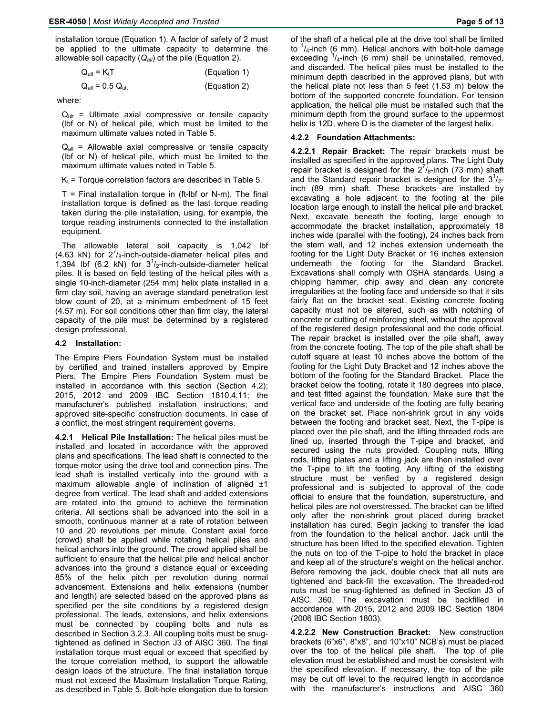installation torque (Equation 1). A factor of safety of 2 must be applied to the ultimate capacity to determine the allowable soil capacity (*Qall*) of the pile (Equation 2).

| $Q_{ult} = K_t T$ | (Equation 1) |
|-------------------|--------------|
|-------------------|--------------|

$$
Q_{all} = 0.5 Q_{ult}
$$
 (Equation 2)

where:

 $Q_{ult}$  = Ultimate axial compressive or tensile capacity (lbf or N) of helical pile, which must be limited to the maximum ultimate values noted in Table 5.

 $Q_{all}$  = Allowable axial compressive or tensile capacity (lbf or N) of helical pile, which must be limited to the maximum ultimate values noted in Table 5.

 $K_t$  = Torque correlation factors are described in Table 5.

 $T =$  Final installation torque in (ft-lbf or N-m). The final installation torque is defined as the last torque reading taken during the pile installation, using, for example, the torque reading instruments connected to the installation equipment.

The allowable lateral soil capacity is 1,042 lbf (4.63 kN) for  $2^{7}/_{8}$ -inch-outside-diameter helical piles and 1,394 lbf (6.2 kN) for  $3^{1}/2$ -inch-outside-diameter helical piles. It is based on field testing of the helical piles with a single 10-inch-diameter (254 mm) helix plate installed in a firm clay soil, having an average standard penetration test blow count of 20, at a minimum embedment of 15 feet (4.57 m). For soil conditions other than firm clay, the lateral capacity of the pile must be determined by a registered design professional.

#### **4.2 Installation:**

The Empire Piers Foundation System must be installed by certified and trained installers approved by Empire Piers. The Empire Piers Foundation System must be installed in accordance with this section (Section 4.2); 2015, 2012 and 2009 IBC Section 1810.4.11; the manufacturer's published installation instructions; and approved site-specific construction documents. In case of a conflict, the most stringent requirement governs.

**4.2.1 Helical Pile Installation:** The helical piles must be installed and located in accordance with the approved plans and specifications. The lead shaft is connected to the torque motor using the drive tool and connection pins. The lead shaft is installed vertically into the ground with a maximum allowable angle of inclination of aligned  $\pm 1$ degree from vertical. The lead shaft and added extensions are rotated into the ground to achieve the termination criteria. All sections shall be advanced into the soil in a smooth, continuous manner at a rate of rotation between 10 and 20 revolutions per minute. Constant axial force (crowd) shall be applied while rotating helical piles and helical anchors into the ground. The crowd applied shall be sufficient to ensure that the helical pile and helical anchor advances into the ground a distance equal or exceeding 85% of the helix pitch per revolution during normal advancement. Extensions and helix extensions (number and length) are selected based on the approved plans as specified per the site conditions by a registered design professional. The leads, extensions, and helix extensions must be connected by coupling bolts and nuts as described in Section 3.2.3. All coupling bolts must be snugtightened as defined in Section J3 of AISC 360. The final installation torque must equal or exceed that specified by the torque correlation method, to support the allowable design loads of the structure. The final installation torque must not exceed the Maximum Installation Torque Rating, as described in Table 5. Bolt-hole elongation due to torsion of the shaft of a helical pile at the drive tool shall be limited to  $1/4$ -inch (6 mm). Helical anchors with bolt-hole damage exceeding  $1/4$ -inch (6 mm) shall be uninstalled, removed, and discarded. The helical piles must be installed to the minimum depth described in the approved plans, but with the helical plate not less than 5 feet (1.53 m) below the bottom of the supported concrete foundation. For tension application, the helical pile must be installed such that the minimum depth from the ground surface to the uppermost helix is 12D, where D is the diameter of the largest helix.

#### **4.2.2 Foundation Attachments:**

**4.2.2.1 Repair Bracket:** The repair brackets must be installed as specified in the approved plans. The Light Duty repair bracket is designed for the  $2^{7}/_8$ -inch (73 mm) shaft and the Standard repair bracket is designed for the  $3<sup>1</sup>/2$ inch (89 mm) shaft. These brackets are installed by excavating a hole adjacent to the footing at the pile location large enough to install the helical pile and bracket. Next, excavate beneath the footing, large enough to accommodate the bracket installation, approximately 18 inches wide (parallel with the footing), 24 inches back from the stem wall, and 12 inches extension underneath the footing for the Light Duty Bracket or 16 inches extension underneath the footing for the Standard Bracket. Excavations shall comply with OSHA standards. Using a chipping hammer, chip away and clean any concrete irregularities at the footing face and underside so that it sits fairly flat on the bracket seat. Existing concrete footing capacity must not be altered, such as with notching of concrete or cutting of reinforcing steel, without the approval of the registered design professional and the code official. The repair bracket is installed over the pile shaft, away from the concrete footing. The top of the pile shaft shall be cutoff square at least 10 inches above the bottom of the footing for the Light Duty Bracket and 12 inches above the bottom of the footing for the Standard Bracket. Place the bracket below the footing, rotate it 180 degrees into place, and test fitted against the foundation. Make sure that the vertical face and underside of the footing are fully bearing on the bracket set. Place non-shrink grout in any voids between the footing and bracket seat. Next, the T-pipe is placed over the pile shaft, and the lifting threaded rods are lined up, inserted through the T-pipe and bracket, and secured using the nuts provided. Coupling nuts, lifting rods, lifting plates and a lifting jack are then installed over the T-pipe to lift the footing. Any lifting of the existing structure must be verified by a registered design professional and is subjected to approval of the code official to ensure that the foundation, superstructure, and helical piles are not overstressed. The bracket can be lifted only after the non-shrink grout placed during bracket installation has cured. Begin jacking to transfer the load from the foundation to the helical anchor. Jack until the structure has been lifted to the specified elevation. Tighten the nuts on top of the T-pipe to hold the bracket in place and keep all of the structure's weight on the helical anchor. Before removing the jack, double check that all nuts are tightened and back-fill the excavation. The threaded-rod nuts must be snug-tightened as defined in Section J3 of AISC 360. The excavation must be backfilled in accordance with 2015, 2012 and 2009 IBC Section 1804 (2006 IBC Section 1803).

**4.2.2.2 New Construction Bracket:** New construction brackets (6"x6", 8"x8", and 10"x10" NCB's) must be placed over the top of the helical pile shaft. The top of pile elevation must be established and must be consistent with the specified elevation. If necessary, the top of the pile may be cut off level to the required length in accordance with the manufacturer's instructions and AISC 360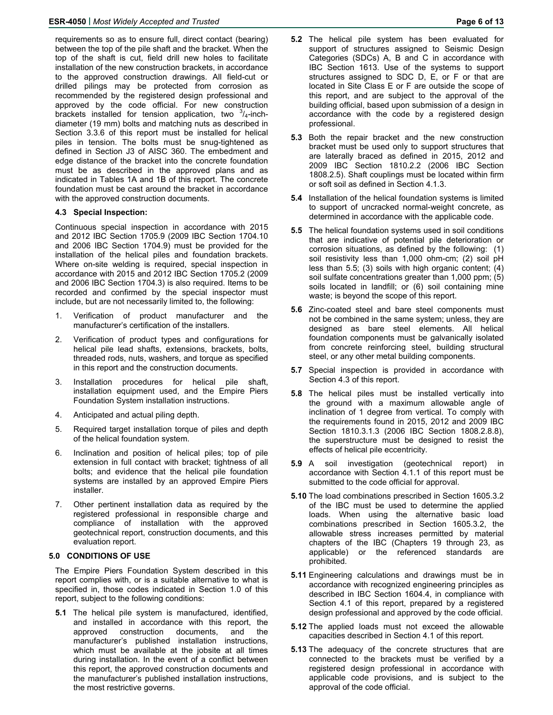requirements so as to ensure full, direct contact (bearing) between the top of the pile shaft and the bracket. When the top of the shaft is cut, field drill new holes to facilitate installation of the new construction brackets, in accordance to the approved construction drawings. All field-cut or drilled pilings may be protected from corrosion as recommended by the registered design professional and approved by the code official. For new construction brackets installed for tension application, two  $3/4$ -inchdiameter (19 mm) bolts and matching nuts as described in Section 3.3.6 of this report must be installed for helical piles in tension. The bolts must be snug-tightened as defined in Section J3 of AISC 360. The embedment and edge distance of the bracket into the concrete foundation must be as described in the approved plans and as indicated in Tables 1A and 1B of this report. The concrete foundation must be cast around the bracket in accordance with the approved construction documents.

## **4.3 Special Inspection:**

Continuous special inspection in accordance with 2015 and 2012 IBC Section 1705.9 (2009 IBC Section 1704.10 and 2006 IBC Section 1704.9) must be provided for the installation of the helical piles and foundation brackets. Where on-site welding is required, special inspection in accordance with 2015 and 2012 IBC Section 1705.2 (2009 and 2006 IBC Section 1704.3) is also required. Items to be recorded and confirmed by the special inspector must include, but are not necessarily limited to, the following:

- 1. Verification of product manufacturer and the manufacturer's certification of the installers.
- 2. Verification of product types and configurations for helical pile lead shafts, extensions, brackets, bolts, threaded rods, nuts, washers, and torque as specified in this report and the construction documents.
- 3. Installation procedures for helical pile shaft, installation equipment used, and the Empire Piers Foundation System installation instructions.
- 4. Anticipated and actual piling depth.
- 5. Required target installation torque of piles and depth of the helical foundation system.
- 6. Inclination and position of helical piles; top of pile extension in full contact with bracket; tightness of all bolts; and evidence that the helical pile foundation systems are installed by an approved Empire Piers installer.
- 7. Other pertinent installation data as required by the registered professional in responsible charge and compliance of installation with the approved geotechnical report, construction documents, and this evaluation report.

# **5.0 CONDITIONS OF USE**

The Empire Piers Foundation System described in this report complies with, or is a suitable alternative to what is specified in, those codes indicated in Section 1.0 of this report, subject to the following conditions:

**5.1** The helical pile system is manufactured, identified, and installed in accordance with this report, the approved construction documents, and the manufacturer's published installation instructions, which must be available at the jobsite at all times during installation. In the event of a conflict between this report, the approved construction documents and the manufacturer's published installation instructions, the most restrictive governs.

- **5.3** Both the repair bracket and the new construction bracket must be used only to support structures that are laterally braced as defined in 2015, 2012 and 2009 IBC Section 1810.2.2 (2006 IBC Section 1808.2.5). Shaft couplings must be located within firm or soft soil as defined in Section 4.1.3.
- **5.4** Installation of the helical foundation systems is limited to support of uncracked normal-weight concrete, as determined in accordance with the applicable code.
- **5.5** The helical foundation systems used in soil conditions that are indicative of potential pile deterioration or corrosion situations, as defined by the following: (1) soil resistivity less than 1,000 ohm-cm; (2) soil pH less than 5.5; (3) soils with high organic content; (4) soil sulfate concentrations greater than 1,000 ppm; (5) soils located in landfill; or (6) soil containing mine waste; is beyond the scope of this report.
- **5.6** Zinc-coated steel and bare steel components must not be combined in the same system; unless, they are designed as bare steel elements. All helical foundation components must be galvanically isolated from concrete reinforcing steel, building structural steel, or any other metal building components.
- **5.7** Special inspection is provided in accordance with Section 4.3 of this report.
- **5.8** The helical piles must be installed vertically into the ground with a maximum allowable angle of inclination of 1 degree from vertical. To comply with the requirements found in 2015, 2012 and 2009 IBC Section 1810.3.1.3 (2006 IBC Section 1808.2.8.8), the superstructure must be designed to resist the effects of helical pile eccentricity.
- **5.9** A soil investigation (geotechnical report) in accordance with Section 4.1.1 of this report must be submitted to the code official for approval.
- **5.10** The load combinations prescribed in Section 1605.3.2 of the IBC must be used to determine the applied loads. When using the alternative basic load combinations prescribed in Section 1605.3.2, the allowable stress increases permitted by material chapters of the IBC (Chapters 19 through 23, as applicable) or the referenced standards are prohibited.
- **5.11** Engineering calculations and drawings must be in accordance with recognized engineering principles as described in IBC Section 1604.4, in compliance with Section 4.1 of this report, prepared by a registered design professional and approved by the code official.
- **5.12** The applied loads must not exceed the allowable capacities described in Section 4.1 of this report.
- **5.13** The adequacy of the concrete structures that are connected to the brackets must be verified by a registered design professional in accordance with applicable code provisions, and is subject to the approval of the code official.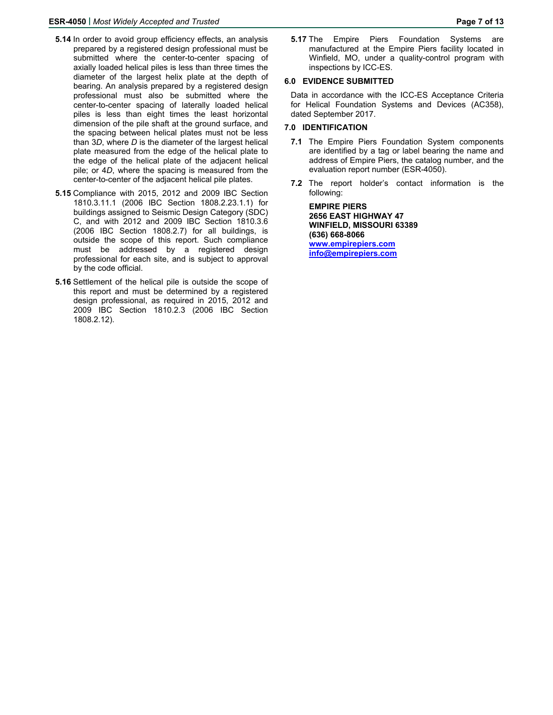- **5.14** In order to avoid group efficiency effects, an analysis prepared by a registered design professional must be submitted where the center-to-center spacing of axially loaded helical piles is less than three times the diameter of the largest helix plate at the depth of bearing. An analysis prepared by a registered design professional must also be submitted where the center-to-center spacing of laterally loaded helical piles is less than eight times the least horizontal dimension of the pile shaft at the ground surface, and the spacing between helical plates must not be less than 3*D*, where *D* is the diameter of the largest helical plate measured from the edge of the helical plate to the edge of the helical plate of the adjacent helical pile; or 4*D*, where the spacing is measured from the center-to-center of the adjacent helical pile plates.
- **5.15** Compliance with 2015, 2012 and 2009 IBC Section 1810.3.11.1 (2006 IBC Section 1808.2.23.1.1) for buildings assigned to Seismic Design Category (SDC) C, and with 2012 and 2009 IBC Section 1810.3.6 (2006 IBC Section 1808.2.7) for all buildings, is outside the scope of this report. Such compliance must be addressed by a registered design professional for each site, and is subject to approval by the code official.
- **5.16** Settlement of the helical pile is outside the scope of this report and must be determined by a registered design professional, as required in 2015, 2012 and 2009 IBC Section 1810.2.3 (2006 IBC Section 1808.2.12).

**5.17** The Empire Piers Foundation Systems are manufactured at the Empire Piers facility located in Winfield, MO, under a quality-control program with inspections by ICC-ES.

# **6.0 EVIDENCE SUBMITTED**

Data in accordance with the ICC-ES Acceptance Criteria for Helical Foundation Systems and Devices (AC358), dated September 2017.

# **7.0 IDENTIFICATION**

- **7.1** The Empire Piers Foundation System components are identified by a tag or label bearing the name and address of Empire Piers, the catalog number, and the evaluation report number (ESR-4050).
- **7.2** The report holder's contact information is the following:

**EMPIRE PIERS 2656 EAST HIGHWAY 47 WINFIELD, MISSOURI 63389 (636) 668-8066 www.empirepiers.com info@empirepiers.com**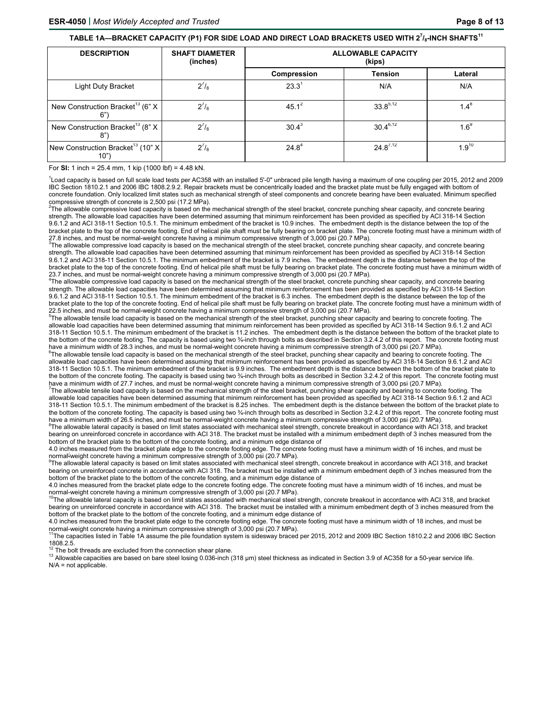#### **TABLE 1A—BRACKET CAPACITY (P1) FOR SIDE LOAD AND DIRECT LOAD BRACKETS USED WITH 2<sup>7</sup> /8-INCH SHAFTS<sup>11</sup>**

| <b>DESCRIPTION</b>                                    | <b>SHAFT DIAMETER</b><br>(inches) | <b>ALLOWABLE CAPACITY</b><br>(kips) |                |             |  |
|-------------------------------------------------------|-----------------------------------|-------------------------------------|----------------|-------------|--|
|                                                       |                                   | Compression                         | <b>Tension</b> | Lateral     |  |
| Light Duty Bracket                                    | $2^{7}/_{8}$                      | 23.3 <sup>1</sup>                   | N/A            | N/A         |  |
| New Construction Bracket <sup>13</sup> (6" X<br>6"    | $2^{7}/_{8}$                      | 45.1 <sup>2</sup>                   | 33 $8^{5,12}$  | $1.4^\circ$ |  |
| New Construction Bracket <sup>13</sup> (8" X<br>8"    | $2^{7}/_{8}$                      | $30.4^3$                            | $30.4^{6,12}$  | $1.6^9$     |  |
| New Construction Bracket <sup>13</sup> (10" X<br>10") | $2^{7}/_{8}$                      | $24.8^{4}$                          | $24.8^{7,12}$  | $1.9^{10}$  |  |

For **SI:** 1 inch = 25.4 mm, 1 kip (1000 lbf) = 4.48 kN.

1 Load capacity is based on full scale load tests per AC358 with an installed 5'-0" unbraced pile length having a maximum of one coupling per 2015, 2012 and 2009 IBC Section 1810.2.1 and 2006 IBC 1808.2.9.2. Repair brackets must be concentrically loaded and the bracket plate must be fully engaged with bottom of concrete foundation. Only localized limit states such as mechanical strength of steel components and concrete bearing have been evaluated. Minimum specified

compressive strength of concrete is 2,500 psi (17.2 MPa).<br><sup>2</sup>The allowable compressive load capacity is based on the mechanical strength of the steel bracket, concrete punching shear capacity, and concrete bearing strength. The allowable load capacities have been determined assuming that minimum reinforcement has been provided as specified by ACI 318-14 Section 9.6.1.2 and ACI 318-11 Section 10.5.1. The minimum embedment of the bracket is 10.9 inches. The embedment depth is the distance between the top of the bracket plate to the top of the concrete footing. End of helical pile shaft must be fully bearing on bracket plate. The concrete footing must have a minimum width of

27.8 inches, and must be normal-weight concrete having a minimum compressive strength of 3,000 psi (20.7 MPa).<br><sup>3</sup>The allowable compressive load capacity is based on the mechanical strength of the steel bracket, concrete p strength. The allowable load capacities have been determined assuming that minimum reinforcement has been provided as specified by ACI 318-14 Section 9.6.1.2 and ACI 318-11 Section 10.5.1. The minimum embedment of the bracket is 7.9 inches. The embedment depth is the distance between the top of the bracket plate to the top of the concrete footing. End of helical pile shaft must be fully bearing on bracket plate. The concrete footing must have a minimum width of 23.7 inches, and must be normal-weight concrete having a minimum compressive strength of 3,000 psi (20.7 MPa).

<sup>4</sup>The allowable compressive load capacity is based on the mechanical strength of the steel bracket, concrete punching shear capacity, and concrete bearing strength. The allowable load capacities have been determined assuming that minimum reinforcement has been provided as specified by ACI 318-14 Section 9.6.1.2 and ACI 318-11 Section 10.5.1. The minimum embedment of the bracket is 6.3 inches. The embedment depth is the distance between the top of the bracket plate to the top of the concrete footing. End of helical pile shaft must be fully bearing on bracket plate. The concrete footing must have a minimum width of 22.5 inches, and must be normal-weight concrete having a minimum compressive strength of 3,000 psi (20.7 MPa).

<sup>5</sup>The allowable tensile load capacity is based on the mechanical strength of the steel bracket, punching shear capacity and bearing to concrete footing. The allowable load capacities have been determined assuming that minimum reinforcement has been provided as specified by ACI 318-14 Section 9.6.1.2 and ACI 318-11 Section 10.5.1. The minimum embedment of the bracket is 11.2 inches. The embedment depth is the distance between the bottom of the bracket plate to the bottom of the concrete footing. The capacity is based using two <sup>3</sup>/<sub>4</sub>-inch through bolts as described in Section 3.2.4.2 of this report. The concrete footing must have a minimum width of 28.3 inches, and must be normal-weight concrete having a minimum compressive strength of 3,000 psi (20.7 MPa).

 $^{\rm 6}$ The allowable tensile load capacity is based on the mechanical strength of the steel bracket, punching shear capacity and bearing to concrete footing. The allowable load capacities have been determined assuming that minimum reinforcement has been provided as specified by ACI 318-14 Section 9.6.1.2 and ACI 318-11 Section 10.5.1. The minimum embedment of the bracket is 9.9 inches. The embedment depth is the distance between the bottom of the bracket plate to the bottom of the concrete footing. The capacity is based using two ¼-inch through bolts as described in Section 3.2.4.2 of this report. The concrete footing must have a minimum width of 27.7 inches, and must be normal-weight concrete having a minimum compressive strength of 3,000 psi (20.7 MPa).

<sup>7</sup>The allowable tensile load capacity is based on the mechanical strength of the steel bracket, punching shear capacity and bearing to concrete footing. The allowable load capacities have been determined assuming that minimum reinforcement has been provided as specified by ACI 318-14 Section 9.6.1.2 and ACI 318-11 Section 10.5.1. The minimum embedment of the bracket is 8.25 inches. The embedment depth is the distance between the bottom of the bracket plate to the bottom of the concrete footing. The capacity is based using two ¼-inch through bolts as described in Section 3.2.4.2 of this report. The concrete footing must have a minimum width of 26.5 inches, and must be normal-weight concrete having a minimum compressive strength of 3,000 psi (20.7 MPa).

<sup>8</sup>The allowable lateral capacity is based on limit states associated with mechanical steel strength, concrete breakout in accordance with ACI 318, and bracket bearing on unreinforced concrete in accordance with ACI 318. The bracket must be installed with a minimum embedment depth of 3 inches measured from the bottom of the bracket plate to the bottom of the concrete footing, and a minimum edge distance of

4.0 inches measured from the bracket plate edge to the concrete footing edge. The concrete footing must have a minimum width of 16 inches, and must be normal-weight concrete having a minimum compressive strength of 3,000 psi (20.7 MPa).

The allowable lateral capacity is based on limit states associated with mechanical steel strength, concrete breakout in accordance with ACI 318, and bracket bearing on unreinforced concrete in accordance with ACI 318. The bracket must be installed with a minimum embedment depth of 3 inches measured from the bottom of the bracket plate to the bottom of the concrete footing, and a minimum edge distance of

4.0 inches measured from the bracket plate edge to the concrete footing edge. The concrete footing must have a minimum width of 16 inches, and must be<br>normal-weight concrete having a minimum compressive strength of 3,000 p

<sup>0</sup>The allowable lateral capacity is based on limit states associated with mechanical steel strength, concrete breakout in accordance with ACI 318, and bracket bearing on unreinforced concrete in accordance with ACI 318. The bracket must be installed with a minimum embedment depth of 3 inches measured from the bottom of the bracket plate to the bottom of the concrete footing, and a minimum edge distance of

4.0 inches measured from the bracket plate edge to the concrete footing edge. The concrete footing must have a minimum width of 18 inches, and must be normal-weight concrete having a minimum compressive strength of 3,000 psi (20.7 MPa).<br><sup>11</sup>The capacities listed in Table 1A assume the pile foundation system is sidesway braced per 2015, 2012 and 2009 IBC Section 1810.2.2

1808.2.5.<br><sup>12</sup> The bolt threads are excluded from the connection shear plane.

<sup>13</sup> Allowable capacities are based on bare steel losing 0.036-inch (318 μm) steel thickness as indicated in Section 3.9 of AC358 for a 50-year service life.  $N/A$  = not applicable.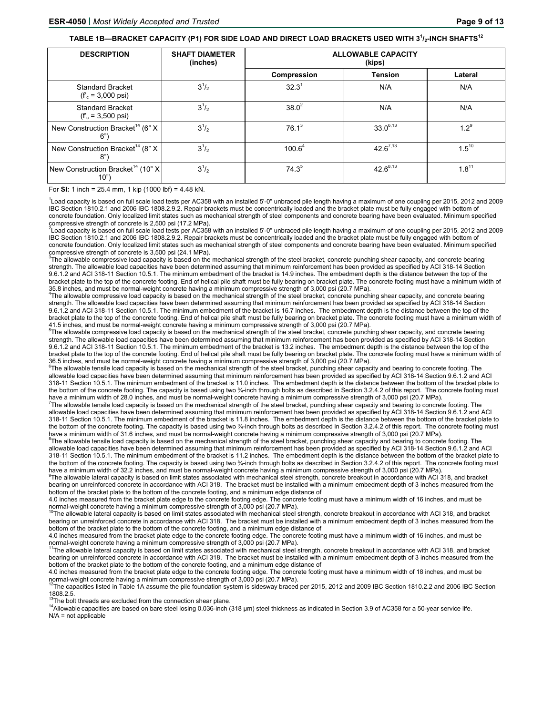#### **TABLE 1B—BRACKET CAPACITY (P1) FOR SIDE LOAD AND DIRECT LOAD BRACKETS USED WITH 3<sup>1</sup> /2-INCH SHAFTS<sup>12</sup>**

| <b>DESCRIPTION</b>                                     | <b>SHAFT DIAMETER</b><br>(inches) | <b>ALLOWABLE CAPACITY</b><br>(kips) |                |            |  |
|--------------------------------------------------------|-----------------------------------|-------------------------------------|----------------|------------|--|
|                                                        |                                   | Compression                         | <b>Tension</b> | Lateral    |  |
| <b>Standard Bracket</b><br>$(f_c = 3,000 \text{ psi})$ | $3^{1}/_{2}$                      | 32.3 <sup>1</sup>                   | N/A            | N/A        |  |
| <b>Standard Bracket</b><br>$(f_c = 3,500 \text{ psi})$ | $3^{1/2}$                         | $38.0^2$                            | N/A            | N/A        |  |
| New Construction Bracket <sup>14</sup> (6" X<br>6"     | $3^{1/2}$                         | $76.1^3$                            | $33.0^{6,13}$  | $1.2^{9}$  |  |
| New Construction Bracket <sup>14</sup> (8" X<br>8")    | $3^{1/2}$                         | $100.6^4$                           | $42.6^{7,13}$  | $1.5^{10}$ |  |
| New Construction Bracket <sup>14</sup> (10" X<br>10"   | $3^{1/2}$                         | $74.3^{5}$                          | $42.6^{8,13}$  | $1.8^{11}$ |  |

For **SI:** 1 inch = 25.4 mm, 1 kip (1000 lbf) = 4.48 kN.

<sup>1</sup>Load capacity is based on full scale load tests per AC358 with an installed 5'-0" unbraced pile length having a maximum of one coupling per 2015, 2012 and 2009 IBC Section 1810.2.1 and 2006 IBC 1808.2.9.2. Repair brackets must be concentrically loaded and the bracket plate must be fully engaged with bottom of concrete foundation. Only localized limit states such as mechanical strength of steel components and concrete bearing have been evaluated. Minimum specified compressive strength of concrete is 2,500 psi (17.2 MPa).

2 Load capacity is based on full scale load tests per AC358 with an installed 5'-0" unbraced pile length having a maximum of one coupling per 2015, 2012 and 2009 IBC Section 1810.2.1 and 2006 IBC 1808.2.9.2. Repair brackets must be concentrically loaded and the bracket plate must be fully engaged with bottom of concrete foundation. Only localized limit states such as mechanical strength of steel components and concrete bearing have been evaluated. Minimum specified compressive strength of concrete is 3,500 psi (24.1 MPa).

 $3$ The allowable compressive load capacity is based on the mechanical strength of the steel bracket, concrete punching shear capacity, and concrete bearing strength. The allowable load capacities have been determined assuming that minimum reinforcement has been provided as specified by ACI 318-14 Section 9.6.1.2 and ACI 318-11 Section 10.5.1. The minimum embedment of the bracket is 14.9 inches. The embedment depth is the distance between the top of the bracket plate to the top of the concrete footing. End of helical pile shaft must be fully bearing on bracket plate. The concrete footing must have a minimum width of 35.8 inches, and must be normal-weight concrete having a minimum compressive strength of 3,000 psi (20.7 MPa).<br><sup>4</sup>The allowable compressive load capacity is based on the mechanical strength of the steel bracket, concrete p

strength. The allowable load capacities have been determined assuming that minimum reinforcement has been provided as specified by ACI 318-14 Section 9.6.1.2 and ACI 318-11 Section 10.5.1. The minimum embedment of the bracket is 16.7 inches. The embedment depth is the distance between the top of the bracket plate to the top of the concrete footing. End of helical pile shaft must be fully bearing on bracket plate. The concrete footing must have a minimum width of 41.5 inches, and must be normal-weight concrete having a minimum compressive strength of 3,000 psi (20.7 MPa).

<sup>5</sup>The allowable compressive load capacity is based on the mechanical strength of the steel bracket, concrete punching shear capacity, and concrete bearing strength. The allowable load capacities have been determined assuming that minimum reinforcement has been provided as specified by ACI 318-14 Section 9.6.1.2 and ACI 318-11 Section 10.5.1. The minimum embedment of the bracket is 13.2 inches. The embedment depth is the distance between the top of the bracket plate to the top of the concrete footing. End of helical pile shaft must be fully bearing on bracket plate. The concrete footing must have a minimum width of 36.5 inches, and must be normal-weight concrete having a minimum compressive strength of 3,000 psi (20.7 MPa).

<sup>6</sup>The allowable tensile load capacity is based on the mechanical strength of the steel bracket, punching shear capacity and bearing to concrete footing. The allowable load capacities have been determined assuming that minimum reinforcement has been provided as specified by ACI 318-14 Section 9.6.1.2 and ACI 318-11 Section 10.5.1. The minimum embedment of the bracket is 11.0 inches. The embedment depth is the distance between the bottom of the bracket plate to the bottom of the concrete footing. The capacity is based using two ¼-inch through bolts as described in Section 3.2.4.2 of this report. The concrete footing must have a minimum width of 28.0 inches, and must be normal-weight concrete having a minimum compressive strength of 3,000 psi (20.7 MPa).

The allowable tensile load capacity is based on the mechanical strength of the steel bracket, punching shear capacity and bearing to concrete footing. The allowable load capacities have been determined assuming that minimum reinforcement has been provided as specified by ACI 318-14 Section 9.6.1.2 and ACI 318-11 Section 10.5.1. The minimum embedment of the bracket is 11.8 inches. The embedment depth is the distance between the bottom of the bracket plate to the bottom of the concrete footing. The capacity is based using two ¼-inch through bolts as described in Section 3.2.4.2 of this report. The concrete footing must have a minimum width of 31.6 inches, and must be normal-weight concrete having a minimum compressive strength of 3,000 psi (20.7 MPa).

<sup>8</sup>The allowable tensile load capacity is based on the mechanical strength of the steel bracket, punching shear capacity and bearing to concrete footing. The allowable load capacities have been determined assuming that minimum reinforcement has been provided as specified by ACI 318-14 Section 9.6.1.2 and ACI 318-11 Section 10.5.1. The minimum embedment of the bracket is 11.2 inches. The embedment depth is the distance between the bottom of the bracket plate to the bottom of the concrete footing. The capacity is based using two ¼-inch through bolts as described in Section 3.2.4.2 of this report. The concrete footing must have a minimum width of 32.2 inches, and must be normal-weight concrete having a minimum compressive strength of 3,000 psi (20.7 MPa).

The allowable lateral capacity is based on limit states associated with mechanical steel strength, concrete breakout in accordance with ACI 318, and bracket bearing on unreinforced concrete in accordance with ACI 318. The bracket must be installed with a minimum embedment depth of 3 inches measured from the bottom of the bracket plate to the bottom of the concrete footing, and a minimum edge distance of

4.0 inches measured from the bracket plate edge to the concrete footing edge. The concrete footing must have a minimum width of 16 inches, and must be<br>normal-weight concrete having a minimum compressive strength of 3,000 p

The allowable lateral capacity is based on limit states associated with mechanical steel strength, concrete breakout in accordance with ACI 318, and bracket bearing on unreinforced concrete in accordance with ACI 318. The bracket must be installed with a minimum embedment depth of 3 inches measured from the bottom of the bracket plate to the bottom of the concrete footing, and a minimum edge distance of

4.0 inches measured from the bracket plate edge to the concrete footing edge. The concrete footing must have a minimum width of 16 inches, and must be normal-weight concrete having a minimum compressive strength of 3,000 p

<sup>1</sup>The allowable lateral capacity is based on limit states associated with mechanical steel strength, concrete breakout in accordance with ACI 318, and bracket bearing on unreinforced concrete in accordance with ACI 318. The bracket must be installed with a minimum embedment depth of 3 inches measured from the bottom of the bracket plate to the bottom of the concrete footing, and a minimum edge distance of

4.0 inches measured from the bracket plate edge to the concrete footing edge. The concrete footing must have a minimum width of 18 inches, and must be normal-weight concrete having a minimum compressive strength of 3,000 p

<sup>2</sup>The capacities listed in Table 1A assume the pile foundation system is sidesway braced per 2015, 2012 and 2009 IBC Section 1810.2.2 and 2006 IBC Section 1808.2.5.<br><sup>13</sup>The bolt threads are excluded from the connection shear plane.

The bolt threads are excluded from the connection shear plane. 14 μm) steel thickness as indicated in Section 3.9 of AC358 for a 50-year service life. N/A = not applicable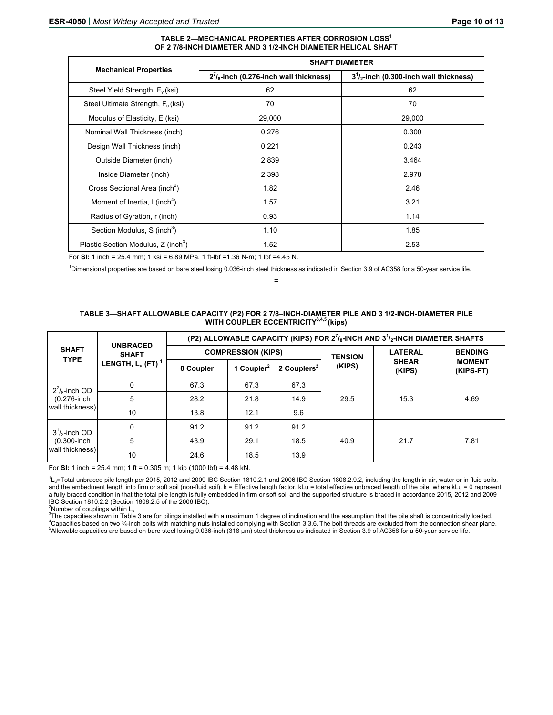#### **TABLE 2—MECHANICAL PROPERTIES AFTER CORROSION LOSS<sup>1</sup> OF 2 7/8-INCH DIAMETER AND 3 1/2-INCH DIAMETER HELICAL SHAFT**

|                                                 |                                                | <b>SHAFT DIAMETER</b>                    |
|-------------------------------------------------|------------------------------------------------|------------------------------------------|
| <b>Mechanical Properties</b>                    | $2^{7}/_{8}$ -inch (0.276-inch wall thickness) | $31/2$ -inch (0.300-inch wall thickness) |
| Steel Yield Strength, $F_v$ (ksi)               | 62                                             | 62                                       |
| Steel Ultimate Strength, F <sub>u</sub> (ksi)   | 70                                             | 70                                       |
| Modulus of Elasticity, E (ksi)                  | 29,000                                         | 29,000                                   |
| Nominal Wall Thickness (inch)                   | 0.276                                          | 0.300                                    |
| Design Wall Thickness (inch)                    | 0.221                                          | 0.243                                    |
| Outside Diameter (inch)                         | 2.839                                          | 3.464                                    |
| Inside Diameter (inch)                          | 2.398                                          | 2.978                                    |
| Cross Sectional Area (inch <sup>2</sup> )       | 1.82                                           | 2.46                                     |
| Moment of Inertia, I (inch <sup>4</sup> )       | 1.57                                           | 3.21                                     |
| Radius of Gyration, r (inch)                    | 0.93                                           | 1.14                                     |
| Section Modulus, S (inch <sup>3</sup> )         | 1.10                                           | 1.85                                     |
| Plastic Section Modulus, Z (inch <sup>3</sup> ) | 1.52                                           | 2.53                                     |

For **SI:** 1 inch = 25.4 mm; 1 ksi = 6.89 MPa, 1 ft-lbf =1.36 N-m; 1 lbf =4.45 N.

1 Dimensional properties are based on bare steel losing 0.036-inch steel thickness as indicated in Section 3.9 of AC358 for a 50-year service life.

#### **=**

#### **TABLE 3—SHAFT ALLOWABLE CAPACITY (P2) FOR 2 7/8–INCH-DIAMETER PILE AND 3 1/2-INCH-DIAMETER PILE WITH COUPLER ECCENTRICITY3,4,5 (kips)**

|                                                       | <b>UNBRACED</b>                 | (P2) ALLOWABLE CAPACITY (KIPS) FOR $2^7$ / <sub>8</sub> -INCH AND $3^1$ / <sub>2</sub> -INCH DIAMETER SHAFTS |                        |                         |                |                        |                            |
|-------------------------------------------------------|---------------------------------|--------------------------------------------------------------------------------------------------------------|------------------------|-------------------------|----------------|------------------------|----------------------------|
| <b>SHAFT</b><br><b>TYPE</b>                           | <b>SHAFT</b>                    | <b>COMPRESSION (KIPS)</b>                                                                                    |                        | <b>TENSION</b>          | <b>LATERAL</b> | <b>BENDING</b>         |                            |
|                                                       | LENGTH, $L_u$ (FT) <sup>1</sup> | 0 Coupler                                                                                                    | 1 Coupler <sup>2</sup> | 2 Couplers <sup>2</sup> | (KIPS)         | <b>SHEAR</b><br>(KIPS) | <b>MOMENT</b><br>(KIPS-FT) |
| $2^7$ / <sub>8</sub> -inch OD                         | $\Omega$                        | 67.3                                                                                                         | 67.3                   | 67.3                    |                |                        |                            |
| (0.276-inch                                           | 5                               | 28.2                                                                                                         | 21.8                   | 14.9                    | 29.5           | 15.3                   | 4.69                       |
| wall thickness)                                       | 10                              | 13.8                                                                                                         | 12.1                   | 9.6                     |                |                        |                            |
| $3^1/2$ -inch OD<br>$(0.300$ -inch<br>wall thickness) | $\mathbf{0}$                    | 91.2                                                                                                         | 91.2                   | 91.2                    | 40.9<br>21.7   |                        |                            |
|                                                       | 5                               | 43.9                                                                                                         | 29.1                   | 18.5                    |                |                        | 7.81                       |
|                                                       | 10                              | 24.6                                                                                                         | 18.5                   | 13.9                    |                |                        |                            |

For **SI:** 1 inch = 25.4 mm; 1 ft = 0.305 m; 1 kip (1000 lbf) = 4.48 kN.

<sup>1</sup>L<sub>u</sub>=Total unbraced pile length per 2015, 2012 and 2009 IBC Section 1810.2.1 and 2006 IBC Section 1808.2.9.2, including the length in air, water or in fluid soils, and the embedment length into firm or soft soil (non-fluid soil). k = Effective length factor. kLu = total effective unbraced length of the pile, where kLu = 0 represent a fully braced condition in that the total pile length is fully embedded in firm or soft soil and the supported structure is braced in accordance 2015, 2012 and 2009 IBC Section 1810.2.2 (Section 1808.2.5 of the 2006 IBC).

<sup>2</sup>Number of couplings within  $L_u$ <br><sup>3</sup>The conseities shown in Table

 $3$ The capacities shown in Table 3 are for pilings installed with a maximum 1 degree of inclination and the assumption that the pile shaft is concentrically loaded. <sup>4</sup>Capacities based on two ¾-inch bolts with matching nuts installed complying with Section 3.3.6. The bolt threads are excluded from the connection shear plane. Allowable capacities are based on bare steel losing 0.036-inch (318 μm) steel thickness as indicated in Section 3.9 of AC358 for a 50-year service life.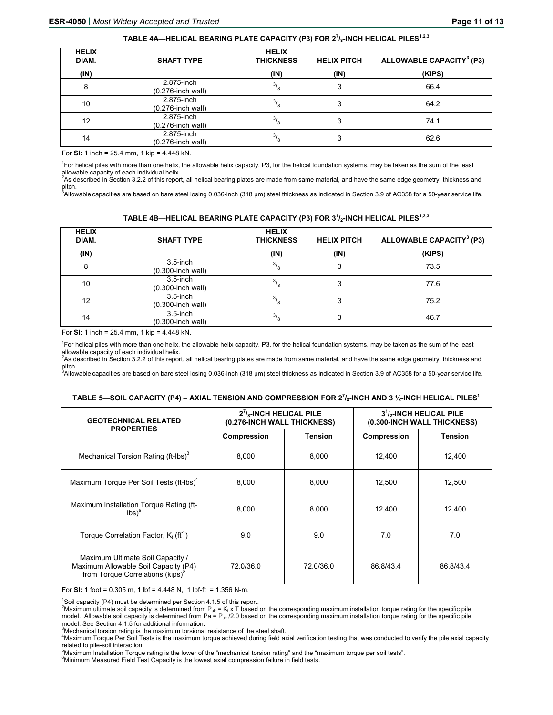| <b>HELIX</b><br>DIAM. | <b>SHAFT TYPE</b>                  | <b>HELIX</b><br><b>THICKNESS</b> | <b>HELIX PITCH</b> | ALLOWABLE CAPACITY <sup>3</sup> (P3) |
|-----------------------|------------------------------------|----------------------------------|--------------------|--------------------------------------|
| (IN)                  |                                    | (IN)                             | (IN)               | (KIPS)                               |
| 8                     | 2.875-inch<br>$(0.276$ -inch wall) | $\frac{3}{8}$                    | 3                  | 66.4                                 |
| 10 <sup>°</sup>       | 2.875-inch<br>$(0.276$ -inch wall) | $^{3}/_{8}$                      | 3                  | 64.2                                 |
| 12                    | 2.875-inch<br>(0.276-inch wall)    | $^{3}/_{8}$                      | 3                  | 74.1                                 |
| 14                    | 2.875-inch<br>$(0.276$ -inch wall) | $^{3}/_{8}$                      | 3                  | 62.6                                 |

For **SI:** 1 inch = 25.4 mm, 1 kip = 4.448 kN.

<sup>1</sup>For helical piles with more than one helix, the allowable helix capacity, P3, for the helical foundation systems, may be taken as the sum of the least allowable capacity of each individual helix.<br><sup>2</sup>As described in Section 3.2.2 of this report, all helical bearing plates are made from same material, and have the same edge geometry, thickness and

pitch.<br><sup>3</sup>Allowable capacities are based on bare steel losing 0.036-inch (318 μm) steel thickness as indicated in Section 3.9 of AC358 for a 50-year service life.

| TABLE 4B—HELICAL BEARING PLATE CAPACITY (P3) FOR 3 <sup>1</sup> / <sub>2</sub> -INCH HELICAL PILES <sup>1.2.3</sup> |  |  |  |
|---------------------------------------------------------------------------------------------------------------------|--|--|--|
|                                                                                                                     |  |  |  |

| <b>HELIX</b><br>DIAM. | <b>SHAFT TYPE</b>                   | <b>HELIX</b><br><b>THICKNESS</b> | <b>HELIX PITCH</b> | ALLOWABLE CAPACITY <sup>3</sup> (P3) |
|-----------------------|-------------------------------------|----------------------------------|--------------------|--------------------------------------|
| (IN)                  |                                     | (IN)                             | (IN)               | (KIPS)                               |
| 8                     | $3.5$ -inch<br>$(0.300$ -inch wall) | $^{3}/_{8}$                      | 3                  | 73.5                                 |
| 10                    | $3.5$ -inch<br>(0.300-inch wall)    | $\frac{3}{8}$                    | 3                  | 77.6                                 |
| 12                    | $3.5$ -inch<br>(0.300-inch wall)    | $\frac{3}{8}$                    | 3                  | 75.2                                 |
| 14                    | $3.5$ -inch<br>(0.300-inch wall)    | $^{3}/_{8}$                      | 3                  | 46.7                                 |

For **SI:** 1 inch = 25.4 mm, 1 kip = 4.448 kN.

<sup>1</sup>For helical piles with more than one helix, the allowable helix capacity, P3, for the helical foundation systems, may be taken as the sum of the least allowable capacity of each individual helix.

<sup>2</sup>As described in Section 3.2.2 of this report, all helical bearing plates are made from same material, and have the same edge geometry, thickness and

pitch.<br><sup>3</sup>Allowable capacities are based on bare steel losing 0.036-inch (318 μm) steel thickness as indicated in Section 3.9 of AC358 for a 50-year service life.

#### **TABLE 5—SOIL CAPACITY (P4) – AXIAL TENSION AND COMPRESSION FOR 27 /8-INCH AND 3 ½-INCH HELICAL PILES<sup>1</sup>**

| <b>GEOTECHNICAL RELATED</b><br><b>PROPERTIES</b>                                                                         | $2^7$ / $s$ -INCH HELICAL PILE<br>(0.276-INCH WALL THICKNESS) |                | $31/2$ -INCH HELICAL PILE<br>(0.300-INCH WALL THICKNESS) |                |
|--------------------------------------------------------------------------------------------------------------------------|---------------------------------------------------------------|----------------|----------------------------------------------------------|----------------|
|                                                                                                                          | Compression                                                   | <b>Tension</b> | Compression                                              | <b>Tension</b> |
| Mechanical Torsion Rating (ft-lbs) <sup>3</sup>                                                                          | 8.000                                                         | 8.000          | 12,400                                                   | 12,400         |
| Maximum Torque Per Soil Tests (ft-lbs) <sup>4</sup>                                                                      | 8.000                                                         | 8.000          | 12,500                                                   | 12,500         |
| Maximum Installation Torque Rating (ft-<br>$\mathsf{lbs}$ <sup>5</sup>                                                   | 8,000                                                         | 8,000          | 12,400                                                   | 12,400         |
| Torque Correlation Factor, $K_t$ (ft <sup>-1</sup> )                                                                     | 9.0                                                           | 9.0            | 7.0                                                      | 7.0            |
| Maximum Ultimate Soil Capacity /<br>Maximum Allowable Soil Capacity (P4)<br>from Torque Correlations (kips) <sup>2</sup> | 72.0/36.0                                                     | 72.0/36.0      | 86.8/43.4                                                | 86.8/43.4      |

For **SI:** 1 foot = 0.305 m, 1 lbf = 4.448 N, 1 lbf-ft = 1.356 N-m.

 $1$ Soil capacity (P4) must be determined per Section 4.1.5 of this report.

<sup>2</sup>Maximum ultimate soil capacity is determined from P<sub>ult</sub> = K<sub>t</sub> x T based on the corresponding maximum installation torque rating for the specific pile model. Allowable soil capacity is determined from Pa = P<sub>ult</sub> /2.0 based on the corresponding maximum installation torque rating for the specific pile model. See Section 4.1.5 for additional information.

 $3$ Mechanical torsion rating is the maximum torsional resistance of the steel shaft.

4 Maximum Torque Per Soil Tests is the maximum torque achieved during field axial verification testing that was conducted to verify the pile axial capacity related to pile-soil interaction.

<sup>5</sup>Maximum Installation Torque rating is the lower of the "mechanical torsion rating" and the "maximum torque per soil tests".<br><sup>6</sup>Minimum Magaured Field Test Canagity is the lowest avial compression failure in field tests.

<sup>6</sup>Minimum Measured Field Test Capacity is the lowest axial compression failure in field tests.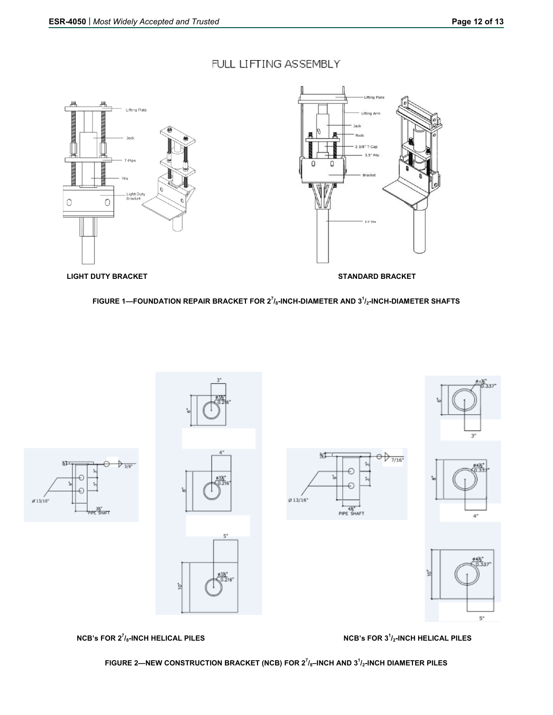# FULL LIFTING ASSEMBLY





 **LIGHT DUTY BRACKET STANDARD BRACKET** 

**FIGURE 1—FOUNDATION REPAIR BRACKET FOR 2<sup>7</sup> /8-INCH-DIAMETER AND 3<sup>1</sup> /2-INCH-DIAMETER SHAFTS** 



**NCB's FOR 2<sup>7</sup>/8-INCH HELICAL PILES NOTE:** NOTE: NOTE: NOTE: NOTE: NOTE: NOTE: NOTE: NOTE: NOTE: NOTE: NOTE: NOTE: NOTE: NOTE: NOTE: NOTE: NOTE: NOTE: NOTE: NOTE: NOTE: NOTE: NOTE: NOTE: NOTE: NOTE: NOTE: NOTE: NOTE: NOTE

**NCB's FOR 3<sup>1</sup>/2-INCH HELICAL PILES** 

**FIGURE 2—NEW CONSTRUCTION BRACKET (NCB) FOR 2<sup>7</sup> /8–INCH AND 3<sup>1</sup> /2-INCH DIAMETER PILES**